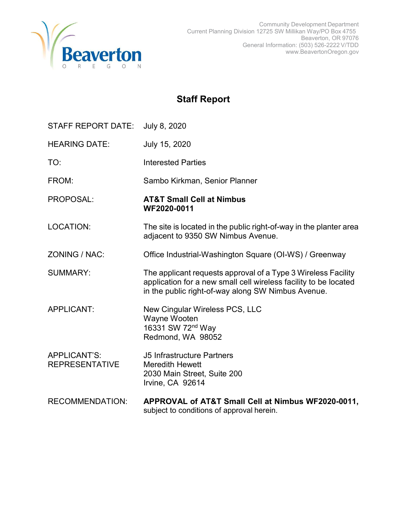

# Staff Report

| STAFF REPORT DATE:                    | July 8, 2020                                                                                                                                                                            |
|---------------------------------------|-----------------------------------------------------------------------------------------------------------------------------------------------------------------------------------------|
| <b>HEARING DATE:</b>                  | July 15, 2020                                                                                                                                                                           |
| TO:                                   | <b>Interested Parties</b>                                                                                                                                                               |
| FROM:                                 | Sambo Kirkman, Senior Planner                                                                                                                                                           |
| PROPOSAL:                             | <b>AT&amp;T Small Cell at Nimbus</b><br>WF2020-0011                                                                                                                                     |
| <b>LOCATION:</b>                      | The site is located in the public right-of-way in the planter area<br>adjacent to 9350 SW Nimbus Avenue.                                                                                |
| ZONING / NAC:                         | Office Industrial-Washington Square (OI-WS) / Greenway                                                                                                                                  |
| <b>SUMMARY:</b>                       | The applicant requests approval of a Type 3 Wireless Facility<br>application for a new small cell wireless facility to be located<br>in the public right-of-way along SW Nimbus Avenue. |
| <b>APPLICANT:</b>                     | New Cingular Wireless PCS, LLC<br>Wayne Wooten<br>16331 SW 72 <sup>nd</sup> Way<br>Redmond, WA 98052                                                                                    |
| APPLICANT'S:<br><b>REPRESENTATIVE</b> | <b>J5 Infrastructure Partners</b><br><b>Meredith Hewett</b><br>2030 Main Street, Suite 200<br>Irvine, CA 92614                                                                          |
| <b>RECOMMENDATION:</b>                | APPROVAL of AT&T Small Cell at Nimbus WF2020-0011,<br>subject to conditions of approval herein.                                                                                         |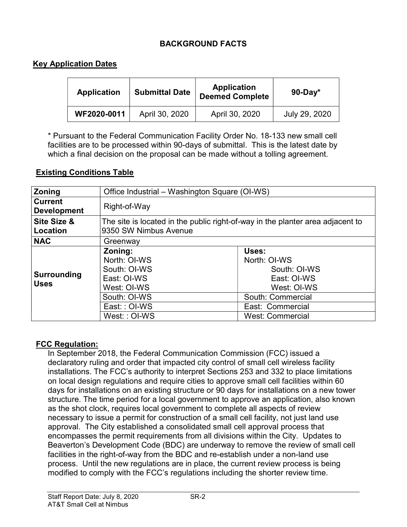## BACKGROUND FACTS

## Key Application Dates

| Application | <b>Submittal Date</b> | Application<br><b>Deemed Complete</b> | $90$ -Day*    |
|-------------|-----------------------|---------------------------------------|---------------|
| WF2020-0011 | April 30, 2020        | April 30, 2020                        | July 29, 2020 |

\* Pursuant to the Federal Communication Facility Order No. 18-133 new small cell facilities are to be processed within 90-days of submittal. This is the latest date by which a final decision on the proposal can be made without a tolling agreement.

### Existing Conditions Table

| Zoning                               | Office Industrial – Washington Square (OI-WS)                                                                         |                                                                                                                                         |  |
|--------------------------------------|-----------------------------------------------------------------------------------------------------------------------|-----------------------------------------------------------------------------------------------------------------------------------------|--|
| <b>Current</b><br><b>Development</b> | Right-of-Way                                                                                                          |                                                                                                                                         |  |
| Site Size &<br>Location              | The site is located in the public right-of-way in the planter area adjacent to<br>9350 SW Nimbus Avenue               |                                                                                                                                         |  |
| <b>NAC</b>                           | Greenway                                                                                                              |                                                                                                                                         |  |
| Surrounding<br><b>Uses</b>           | Zoning:<br>North: OI-WS<br>South: OI-WS<br>East: OI-WS<br>West: OI-WS<br>South: OI-WS<br>East:: OI-WS<br>West:: OI-WS | Uses:<br>North: OI-WS<br>South: OI-WS<br>East: OI-WS<br>West: OI-WS<br>South: Commercial<br>East: Commercial<br><b>West: Commercial</b> |  |

### FCC Regulation:

In September 2018, the Federal Communication Commission (FCC) issued a declaratory ruling and order that impacted city control of small cell wireless facility installations. The FCC's authority to interpret Sections 253 and 332 to place limitations on local design regulations and require cities to approve small cell facilities within 60 days for installations on an existing structure or 90 days for installations on a new tower structure. The time period for a local government to approve an application, also known as the shot clock, requires local government to complete all aspects of review necessary to issue a permit for construction of a small cell facility, not just land use approval. The City established a consolidated small cell approval process that encompasses the permit requirements from all divisions within the City. Updates to Beaverton's Development Code (BDC) are underway to remove the review of small cell facilities in the right-of-way from the BDC and re-establish under a non-land use process. Until the new regulations are in place, the current review process is being modified to comply with the FCC's regulations including the shorter review time.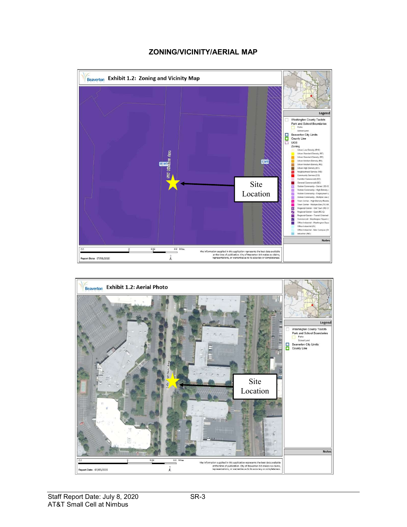#### ZONING/VICINITY/AERIAL MAP



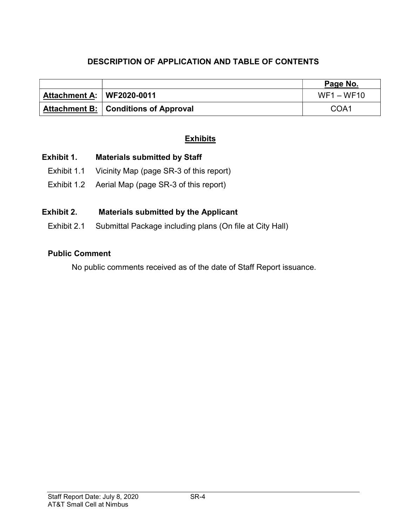# DESCRIPTION OF APPLICATION AND TABLE OF CONTENTS

|                             |                                               | Page No.     |
|-----------------------------|-----------------------------------------------|--------------|
| Attachment A:   WF2020-0011 |                                               | $WF1 - WF10$ |
|                             | <b>Attachment B:   Conditions of Approval</b> | COA1         |

# **Exhibits**

## Exhibit 1. Materials submitted by Staff

- Exhibit 1.1 Vicinity Map (page SR-3 of this report)
- Exhibit 1.2 Aerial Map (page SR-3 of this report)

# Exhibit 2. Materials submitted by the Applicant

Exhibit 2.1 Submittal Package including plans (On file at City Hall)

### Public Comment

No public comments received as of the date of Staff Report issuance.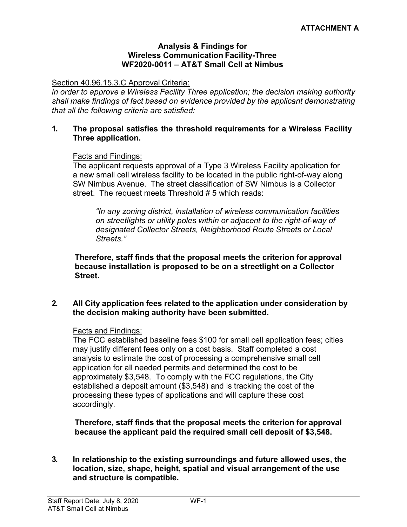#### Analysis & Findings for Wireless Communication Facility-Three WF2020-0011 – AT&T Small Cell at Nimbus

Section 40.96.15.3.C Approval Criteria:

in order to approve a Wireless Facility Three application; the decision making authority shall make findings of fact based on evidence provided by the applicant demonstrating that all the following criteria are satisfied:

#### 1. The proposal satisfies the threshold requirements for a Wireless Facility Three application.

#### Facts and Findings:

The applicant requests approval of a Type 3 Wireless Facility application for a new small cell wireless facility to be located in the public right-of-way along SW Nimbus Avenue. The street classification of SW Nimbus is a Collector street. The request meets Threshold # 5 which reads:

"In any zoning district, installation of wireless communication facilities on streetlights or utility poles within or adjacent to the right-of-way of designated Collector Streets, Neighborhood Route Streets or Local Streets."

Therefore, staff finds that the proposal meets the criterion for approval because installation is proposed to be on a streetlight on a Collector Street.

#### 2. All City application fees related to the application under consideration by the decision making authority have been submitted.

#### Facts and Findings:

The FCC established baseline fees \$100 for small cell application fees; cities may justify different fees only on a cost basis. Staff completed a cost analysis to estimate the cost of processing a comprehensive small cell application for all needed permits and determined the cost to be approximately \$3,548. To comply with the FCC regulations, the City established a deposit amount (\$3,548) and is tracking the cost of the processing these types of applications and will capture these cost accordingly.

Therefore, staff finds that the proposal meets the criterion for approval because the applicant paid the required small cell deposit of \$3,548.

#### 3. In relationship to the existing surroundings and future allowed uses, the location, size, shape, height, spatial and visual arrangement of the use and structure is compatible.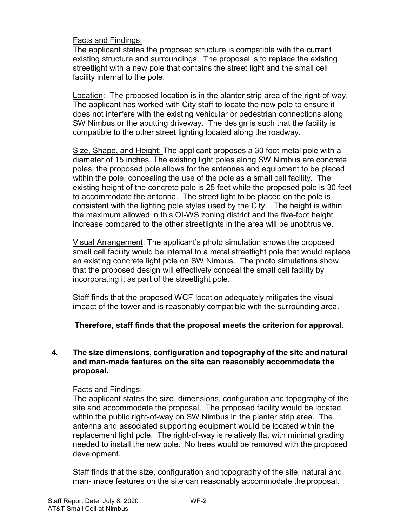Facts and Findings:

The applicant states the proposed structure is compatible with the current existing structure and surroundings. The proposal is to replace the existing streetlight with a new pole that contains the street light and the small cell facility internal to the pole.

Location: The proposed location is in the planter strip area of the right-of-way. The applicant has worked with City staff to locate the new pole to ensure it does not interfere with the existing vehicular or pedestrian connections along SW Nimbus or the abutting driveway. The design is such that the facility is compatible to the other street lighting located along the roadway.

Size, Shape, and Height: The applicant proposes a 30 foot metal pole with a diameter of 15 inches. The existing light poles along SW Nimbus are concrete poles, the proposed pole allows for the antennas and equipment to be placed within the pole, concealing the use of the pole as a small cell facility. The existing height of the concrete pole is 25 feet while the proposed pole is 30 feet to accommodate the antenna. The street light to be placed on the pole is consistent with the lighting pole styles used by the City. The height is within the maximum allowed in this OI-WS zoning district and the five-foot height increase compared to the other streetlights in the area will be unobtrusive.

Visual Arrangement: The applicant's photo simulation shows the proposed small cell facility would be internal to a metal streetlight pole that would replace an existing concrete light pole on SW Nimbus. The photo simulations show that the proposed design will effectively conceal the small cell facility by incorporating it as part of the streetlight pole.

Staff finds that the proposed WCF location adequately mitigates the visual impact of the tower and is reasonably compatible with the surrounding area.

Therefore, staff finds that the proposal meets the criterion for approval.

## 4. The size dimensions, configuration and topography of the site and natural and man-made features on the site can reasonably accommodate the proposal.

# Facts and Findings:

The applicant states the size, dimensions, configuration and topography of the site and accommodate the proposal. The proposed facility would be located within the public right-of-way on SW Nimbus in the planter strip area. The antenna and associated supporting equipment would be located within the replacement light pole. The right-of-way is relatively flat with minimal grading needed to install the new pole. No trees would be removed with the proposed development.

Staff finds that the size, configuration and topography of the site, natural and man- made features on the site can reasonably accommodate the proposal.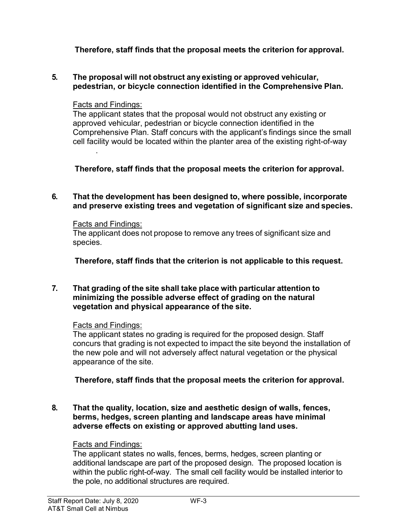# Therefore, staff finds that the proposal meets the criterion for approval.

### 5. The proposal will not obstruct any existing or approved vehicular, pedestrian, or bicycle connection identified in the Comprehensive Plan.

## Facts and Findings:

.

The applicant states that the proposal would not obstruct any existing or approved vehicular, pedestrian or bicycle connection identified in the Comprehensive Plan. Staff concurs with the applicant's findings since the small cell facility would be located within the planter area of the existing right-of-way

Therefore, staff finds that the proposal meets the criterion for approval.

## 6. That the development has been designed to, where possible, incorporate and preserve existing trees and vegetation of significant size and species.

### Facts and Findings:

The applicant does not propose to remove any trees of significant size and species.

Therefore, staff finds that the criterion is not applicable to this request.

#### 7. That grading of the site shall take place with particular attention to minimizing the possible adverse effect of grading on the natural vegetation and physical appearance of the site.

# Facts and Findings:

The applicant states no grading is required for the proposed design. Staff concurs that grading is not expected to impact the site beyond the installation of the new pole and will not adversely affect natural vegetation or the physical appearance of the site.

# Therefore, staff finds that the proposal meets the criterion for approval.

8. That the quality, location, size and aesthetic design of walls, fences, berms, hedges, screen planting and landscape areas have minimal adverse effects on existing or approved abutting land uses.

# Facts and Findings:

The applicant states no walls, fences, berms, hedges, screen planting or additional landscape are part of the proposed design. The proposed location is within the public right-of-way. The small cell facility would be installed interior to the pole, no additional structures are required.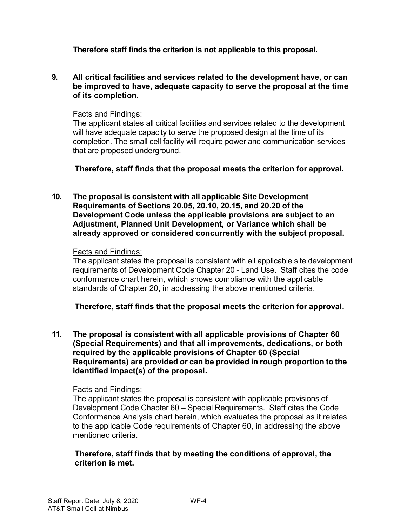Therefore staff finds the criterion is not applicable to this proposal.

9. All critical facilities and services related to the development have, or can be improved to have, adequate capacity to serve the proposal at the time of its completion.

### Facts and Findings:

The applicant states all critical facilities and services related to the development will have adequate capacity to serve the proposed design at the time of its completion. The small cell facility will require power and communication services that are proposed underground.

Therefore, staff finds that the proposal meets the criterion for approval.

10. The proposal is consistent with all applicable Site Development Requirements of Sections 20.05, 20.10, 20.15, and 20.20 of the Development Code unless the applicable provisions are subject to an Adjustment, Planned Unit Development, or Variance which shall be already approved or considered concurrently with the subject proposal.

## Facts and Findings:

The applicant states the proposal is consistent with all applicable site development requirements of Development Code Chapter 20 - Land Use. Staff cites the code conformance chart herein, which shows compliance with the applicable standards of Chapter 20, in addressing the above mentioned criteria.

Therefore, staff finds that the proposal meets the criterion for approval.

11. The proposal is consistent with all applicable provisions of Chapter 60 (Special Requirements) and that all improvements, dedications, or both required by the applicable provisions of Chapter 60 (Special Requirements) are provided or can be provided in rough proportion to the identified impact(s) of the proposal.

# Facts and Findings:

The applicant states the proposal is consistent with applicable provisions of Development Code Chapter 60 – Special Requirements. Staff cites the Code Conformance Analysis chart herein, which evaluates the proposal as it relates to the applicable Code requirements of Chapter 60, in addressing the above mentioned criteria.

Therefore, staff finds that by meeting the conditions of approval, the criterion is met.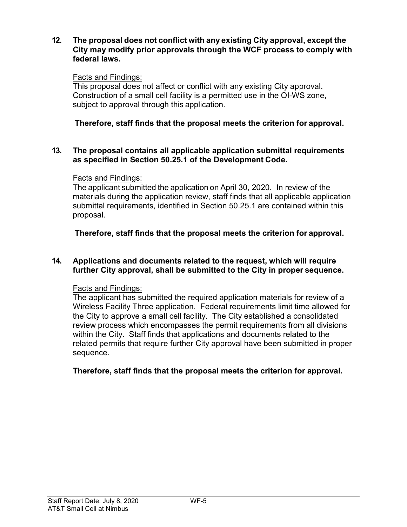#### 12. The proposal does not conflict with any existing City approval, except the City may modify prior approvals through the WCF process to comply with federal laws.

### Facts and Findings:

This proposal does not affect or conflict with any existing City approval. Construction of a small cell facility is a permitted use in the OI-WS zone, subject to approval through this application.

## Therefore, staff finds that the proposal meets the criterion for approval.

#### 13. The proposal contains all applicable application submittal requirements as specified in Section 50.25.1 of the Development Code.

### Facts and Findings:

The applicant submitted the application on April 30, 2020. In review of the materials during the application review, staff finds that all applicable application submittal requirements, identified in Section 50.25.1 are contained within this proposal.

Therefore, staff finds that the proposal meets the criterion for approval.

#### 14. Applications and documents related to the request, which will require further City approval, shall be submitted to the City in proper sequence.

### Facts and Findings:

The applicant has submitted the required application materials for review of a Wireless Facility Three application. Federal requirements limit time allowed for the City to approve a small cell facility. The City established a consolidated review process which encompasses the permit requirements from all divisions within the City. Staff finds that applications and documents related to the related permits that require further City approval have been submitted in proper sequence.

# Therefore, staff finds that the proposal meets the criterion for approval.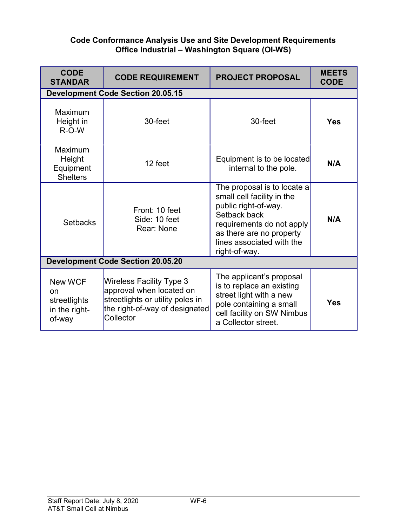### Code Conformance Analysis Use and Site Development Requirements Office Industrial – Washington Square (OI-WS)

| <b>CODE</b><br><b>STANDAR</b>                                              | <b>CODE REQUIREMENT</b>                                                                                                                 | <b>PROJECT PROPOSAL</b>                                                                                                                                                                                  | <b>MEETS</b><br><b>CODE</b> |
|----------------------------------------------------------------------------|-----------------------------------------------------------------------------------------------------------------------------------------|----------------------------------------------------------------------------------------------------------------------------------------------------------------------------------------------------------|-----------------------------|
|                                                                            | <b>Development Code Section 20.05.15</b>                                                                                                |                                                                                                                                                                                                          |                             |
| Maximum<br>Height in<br>$R-O-W$                                            | 30-feet                                                                                                                                 | 30-feet                                                                                                                                                                                                  | <b>Yes</b>                  |
| Maximum<br>Height<br>Equipment<br><b>Shelters</b>                          | 12 feet                                                                                                                                 | Equipment is to be located<br>internal to the pole.                                                                                                                                                      | N/A                         |
| <b>Setbacks</b>                                                            | Front: 10 feet<br>Side: 10 feet<br>Rear: None                                                                                           | The proposal is to locate a<br>small cell facility in the<br>public right-of-way.<br>Setback back<br>requirements do not apply<br>as there are no property<br>lines associated with the<br>right-of-way. | N/A                         |
| <b>Development Code Section 20.05.20</b>                                   |                                                                                                                                         |                                                                                                                                                                                                          |                             |
| <b>New WCF</b><br><sub>on</sub><br>streetlights<br>in the right-<br>of-way | Wireless Facility Type 3<br>approval when located on<br>streetlights or utility poles in<br>the right-of-way of designated<br>Collector | The applicant's proposal<br>is to replace an existing<br>street light with a new<br>pole containing a small<br>cell facility on SW Nimbus<br>a Collector street.                                         | <b>Yes</b>                  |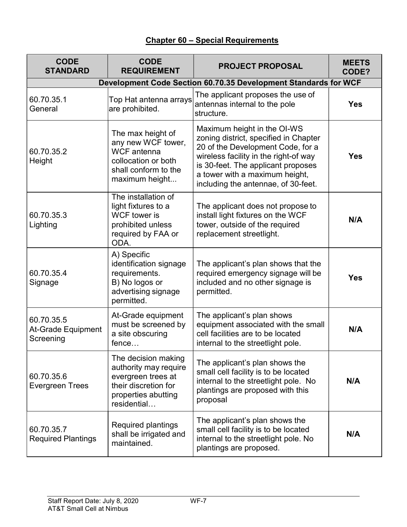# Chapter 60 – Special Requirements

| <b>CODE</b><br><b>STANDARD</b>                                  | <b>CODE</b><br><b>REQUIREMENT</b>                                                                                                | <b>PROJECT PROPOSAL</b>                                                                                                                                                                                                                                           | <b>MEETS</b><br>CODE? |  |
|-----------------------------------------------------------------|----------------------------------------------------------------------------------------------------------------------------------|-------------------------------------------------------------------------------------------------------------------------------------------------------------------------------------------------------------------------------------------------------------------|-----------------------|--|
| Development Code Section 60.70.35 Development Standards for WCF |                                                                                                                                  |                                                                                                                                                                                                                                                                   |                       |  |
| 60.70.35.1<br>General                                           | Top Hat antenna arrays<br>are prohibited.                                                                                        | The applicant proposes the use of<br>antennas internal to the pole<br>structure.                                                                                                                                                                                  | <b>Yes</b>            |  |
| 60.70.35.2<br>Height                                            | The max height of<br>any new WCF tower,<br><b>WCF</b> antenna<br>collocation or both<br>shall conform to the<br>maximum height   | Maximum height in the OI-WS<br>zoning district, specified in Chapter<br>20 of the Development Code, for a<br>wireless facility in the right-of way<br>is 30-feet. The applicant proposes<br>a tower with a maximum height,<br>including the antennae, of 30-feet. | <b>Yes</b>            |  |
| 60.70.35.3<br>Lighting                                          | The installation of<br>light fixtures to a<br><b>WCF</b> tower is<br>prohibited unless<br>required by FAA or<br>ODA.             | The applicant does not propose to<br>install light fixtures on the WCF<br>tower, outside of the required<br>replacement streetlight.                                                                                                                              | N/A                   |  |
| 60.70.35.4<br>Signage                                           | A) Specific<br>identification signage<br>requirements.<br>B) No logos or<br>advertising signage<br>permitted.                    | The applicant's plan shows that the<br>required emergency signage will be<br>included and no other signage is<br>permitted.                                                                                                                                       | <b>Yes</b>            |  |
| 60.70.35.5<br><b>At-Grade Equipment</b><br>Screening            | At-Grade equipment<br>must be screened by<br>a site obscuring<br>fence                                                           | The applicant's plan shows<br>equipment associated with the small<br>cell facilities are to be located<br>internal to the streetlight pole.                                                                                                                       | N/A                   |  |
| 60.70.35.6<br><b>Evergreen Trees</b>                            | The decision making<br>authority may require<br>evergreen trees at<br>their discretion for<br>properties abutting<br>residential | The applicant's plan shows the<br>small cell facility is to be located<br>internal to the streetlight pole. No<br>plantings are proposed with this<br>proposal                                                                                                    | N/A                   |  |
| 60.70.35.7<br><b>Required Plantings</b>                         | Required plantings<br>shall be irrigated and<br>maintained.                                                                      | The applicant's plan shows the<br>small cell facility is to be located<br>internal to the streetlight pole. No<br>plantings are proposed.                                                                                                                         | N/A                   |  |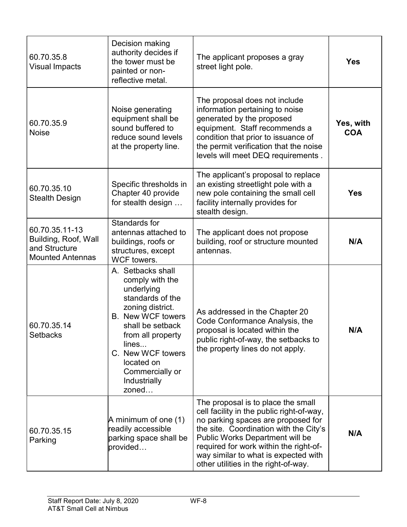| 60.70.35.8<br><b>Visual Impacts</b>                                                | Decision making<br>authority decides if<br>the tower must be<br>painted or non-<br>reflective metal.                                                                                                                                                    | The applicant proposes a gray<br>street light pole.                                                                                                                                                                                                                                                                                 | <b>Yes</b>              |
|------------------------------------------------------------------------------------|---------------------------------------------------------------------------------------------------------------------------------------------------------------------------------------------------------------------------------------------------------|-------------------------------------------------------------------------------------------------------------------------------------------------------------------------------------------------------------------------------------------------------------------------------------------------------------------------------------|-------------------------|
| 60.70.35.9<br><b>Noise</b>                                                         | Noise generating<br>equipment shall be<br>sound buffered to<br>reduce sound levels<br>at the property line.                                                                                                                                             | The proposal does not include<br>information pertaining to noise<br>generated by the proposed<br>equipment. Staff recommends a<br>condition that prior to issuance of<br>the permit verification that the noise<br>levels will meet DEQ requirements.                                                                               | Yes, with<br><b>COA</b> |
| 60.70.35.10<br><b>Stealth Design</b>                                               | Specific thresholds in<br>Chapter 40 provide<br>for stealth design                                                                                                                                                                                      | The applicant's proposal to replace<br>an existing streetlight pole with a<br>new pole containing the small cell<br>facility internally provides for<br>stealth design.                                                                                                                                                             | <b>Yes</b>              |
| 60.70.35.11-13<br>Building, Roof, Wall<br>and Structure<br><b>Mounted Antennas</b> | Standards for<br>antennas attached to<br>buildings, roofs or<br>structures, except<br><b>WCF</b> towers.                                                                                                                                                | The applicant does not propose<br>building, roof or structure mounted<br>antennas.                                                                                                                                                                                                                                                  | N/A                     |
| 60.70.35.14<br><b>Setbacks</b>                                                     | A. Setbacks shall<br>comply with the<br>underlying<br>standards of the<br>zoning district.<br><b>B.</b> New WCF towers<br>shall be setback<br>from all property<br>lines<br>C. New WCF towers<br>located on<br>Commercially or<br>Industrially<br>zoned | As addressed in the Chapter 20<br>Code Conformance Analysis, the<br>proposal is located within the<br>public right-of-way, the setbacks to<br>the property lines do not apply.                                                                                                                                                      | N/A                     |
| 60.70.35.15<br>Parking                                                             | A minimum of one (1)<br>readily accessible<br>parking space shall be<br>provided                                                                                                                                                                        | The proposal is to place the small<br>cell facility in the public right-of-way,<br>no parking spaces are proposed for<br>the site. Coordination with the City's<br><b>Public Works Department will be</b><br>required for work within the right-of-<br>way similar to what is expected with<br>other utilities in the right-of-way. | N/A                     |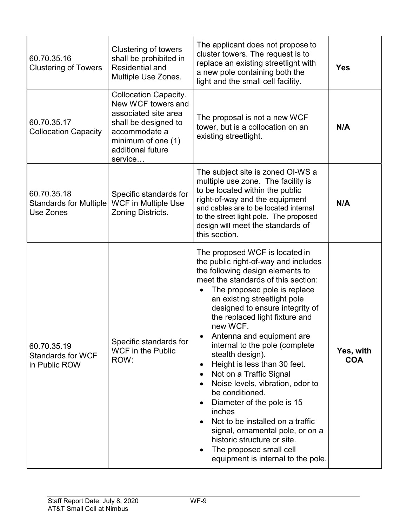| 60.70.35.16<br><b>Clustering of Towers</b>               | Clustering of towers<br>shall be prohibited in<br><b>Residential and</b><br>Multiple Use Zones.                                                                             | The applicant does not propose to<br>cluster towers. The request is to<br>replace an existing streetlight with<br>a new pole containing both the<br>light and the small cell facility.                                                                                                                                                                                                                                                                                                                                                                                                                                                                                                                                               | <b>Yes</b>              |
|----------------------------------------------------------|-----------------------------------------------------------------------------------------------------------------------------------------------------------------------------|--------------------------------------------------------------------------------------------------------------------------------------------------------------------------------------------------------------------------------------------------------------------------------------------------------------------------------------------------------------------------------------------------------------------------------------------------------------------------------------------------------------------------------------------------------------------------------------------------------------------------------------------------------------------------------------------------------------------------------------|-------------------------|
| 60.70.35.17<br><b>Collocation Capacity</b>               | <b>Collocation Capacity.</b><br>New WCF towers and<br>associated site area<br>shall be designed to<br>accommodate a<br>minimum of one $(1)$<br>additional future<br>service | The proposal is not a new WCF<br>tower, but is a collocation on an<br>existing streetlight.                                                                                                                                                                                                                                                                                                                                                                                                                                                                                                                                                                                                                                          | N/A                     |
| 60.70.35.18<br>Standards for Multiple<br>Use Zones       | Specific standards for<br><b>WCF</b> in Multiple Use<br><b>Zoning Districts.</b>                                                                                            | The subject site is zoned OI-WS a<br>multiple use zone. The facility is<br>to be located within the public<br>right-of-way and the equipment<br>and cables are to be located internal<br>to the street light pole. The proposed<br>design will meet the standards of<br>this section.                                                                                                                                                                                                                                                                                                                                                                                                                                                | N/A                     |
| 60.70.35.19<br><b>Standards for WCF</b><br>in Public ROW | Specific standards for<br><b>WCF</b> in the Public<br>ROW:                                                                                                                  | The proposed WCF is located in<br>the public right-of-way and includes<br>the following design elements to<br>meet the standards of this section:<br>The proposed pole is replace<br>an existing streetlight pole<br>designed to ensure integrity of<br>the replaced light fixture and<br>new WCF.<br>Antenna and equipment are<br>internal to the pole (complete<br>stealth design).<br>Height is less than 30 feet.<br>$\bullet$<br>Not on a Traffic Signal<br>Noise levels, vibration, odor to<br>be conditioned.<br>Diameter of the pole is 15<br>inches<br>Not to be installed on a traffic<br>signal, ornamental pole, or on a<br>historic structure or site.<br>The proposed small cell<br>equipment is internal to the pole. | Yes, with<br><b>COA</b> |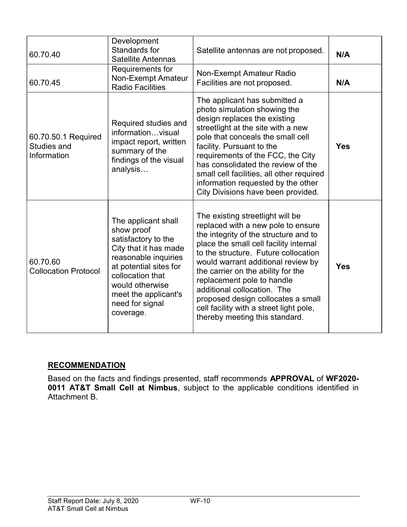| 60.70.40                                                 | Development<br>Standards for<br><b>Satellite Antennas</b>                                                                                                                                                                          | Satellite antennas are not proposed.                                                                                                                                                                                                                                                                                                                                                                                                                          | N/A        |
|----------------------------------------------------------|------------------------------------------------------------------------------------------------------------------------------------------------------------------------------------------------------------------------------------|---------------------------------------------------------------------------------------------------------------------------------------------------------------------------------------------------------------------------------------------------------------------------------------------------------------------------------------------------------------------------------------------------------------------------------------------------------------|------------|
| 60.70.45                                                 | Requirements for<br><b>Non-Exempt Amateur</b><br><b>Radio Facilities</b>                                                                                                                                                           | <b>Non-Exempt Amateur Radio</b><br>Facilities are not proposed.                                                                                                                                                                                                                                                                                                                                                                                               | N/A        |
| 60.70.50.1 Required<br><b>Studies and</b><br>Information | Required studies and<br>informationvisual<br>impact report, written<br>summary of the<br>findings of the visual<br>analysis                                                                                                        | The applicant has submitted a<br>photo simulation showing the<br>design replaces the existing<br>streetlight at the site with a new<br>pole that conceals the small cell<br>facility. Pursuant to the<br>requirements of the FCC, the City<br>has consolidated the review of the<br>small cell facilities, all other required<br>information requested by the other<br>City Divisions have been provided.                                                     | <b>Yes</b> |
| 60.70.60<br><b>Collocation Protocol</b>                  | The applicant shall<br>show proof<br>satisfactory to the<br>City that it has made<br>reasonable inquiries<br>at potential sites for<br>collocation that<br>would otherwise<br>meet the applicant's<br>need for signal<br>coverage. | The existing streetlight will be<br>replaced with a new pole to ensure<br>the integrity of the structure and to<br>place the small cell facility internal<br>to the structure. Future collocation<br>would warrant additional review by<br>the carrier on the ability for the<br>replacement pole to handle<br>additional collocation. The<br>proposed design collocates a small<br>cell facility with a street light pole,<br>thereby meeting this standard. | <b>Yes</b> |

# **RECOMMENDATION**

Based on the facts and findings presented, staff recommends APPROVAL of WF2020-**0011 AT&T Small Cell at Nimbus**, subject to the applicable conditions identified in Attachment B.